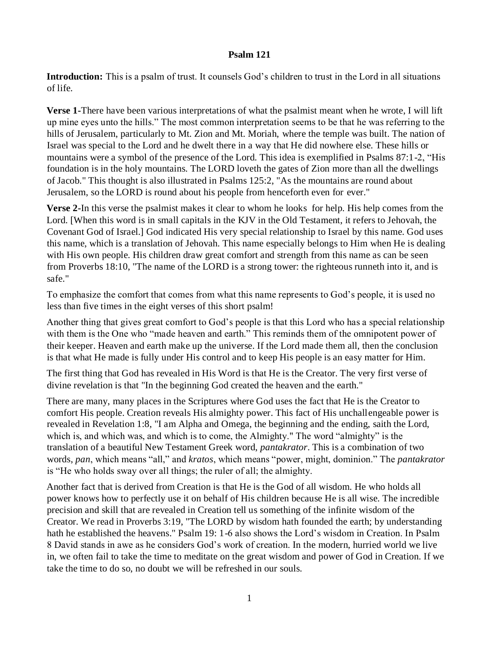## **Psalm 121**

**Introduction:** This is a psalm of trust. It counsels God's children to trust in the Lord in all situations of life.

**Verse 1-**There have been various interpretations of what the psalmist meant when he wrote, I will lift up mine eyes unto the hills." The most common interpretation seems to be that he was referring to the hills of Jerusalem, particularly to Mt. Zion and Mt. Moriah, where the temple was built. The nation of Israel was special to the Lord and he dwelt there in a way that He did nowhere else. These hills or mountains were a symbol of the presence of the Lord. This idea is exemplified in Psalms 87:1-2, "His foundation is in the holy mountains. The LORD loveth the gates of Zion more than all the dwellings of Jacob." This thought is also illustrated in Psalms 125:2, "As the mountains are round about Jerusalem, so the LORD is round about his people from henceforth even for ever."

**Verse 2-**In this verse the psalmist makes it clear to whom he looks for help. His help comes from the Lord. [When this word is in small capitals in the KJV in the Old Testament, it refers to Jehovah, the Covenant God of Israel.] God indicated His very special relationship to Israel by this name. God uses this name, which is a translation of Jehovah. This name especially belongs to Him when He is dealing with His own people. His children draw great comfort and strength from this name as can be seen from Proverbs 18:10, "The name of the LORD is a strong tower: the righteous runneth into it, and is safe."

To emphasize the comfort that comes from what this name represents to God's people, it is used no less than five times in the eight verses of this short psalm!

Another thing that gives great comfort to God's people is that this Lord who has a special relationship with them is the One who "made heaven and earth." This reminds them of the omnipotent power of their keeper. Heaven and earth make up the universe. If the Lord made them all, then the conclusion is that what He made is fully under His control and to keep His people is an easy matter for Him.

The first thing that God has revealed in His Word is that He is the Creator. The very first verse of divine revelation is that "In the beginning God created the heaven and the earth."

There are many, many places in the Scriptures where God uses the fact that He is the Creator to comfort His people. Creation reveals His almighty power. This fact of His unchallengeable power is revealed in Revelation 1:8, "I am Alpha and Omega, the beginning and the ending, saith the Lord, which is, and which was, and which is to come, the Almighty." The word "almighty" is the translation of a beautiful New Testament Greek word, *pantakrator*. This is a combination of two words, *pan*, which means "all," and *kratos*, which means "power, might, dominion." The *pantakrator* is "He who holds sway over all things; the ruler of all; the almighty.

Another fact that is derived from Creation is that He is the God of all wisdom. He who holds all power knows how to perfectly use it on behalf of His children because He is all wise. The incredible precision and skill that are revealed in Creation tell us something of the infinite wisdom of the Creator. We read in Proverbs 3:19, "The LORD by wisdom hath founded the earth; by understanding hath he established the heavens." Psalm 19: 1-6 also shows the Lord's wisdom in Creation. In Psalm 8 David stands in awe as he considers God's work of creation. In the modern, hurried world we live in, we often fail to take the time to meditate on the great wisdom and power of God in Creation. If we take the time to do so, no doubt we will be refreshed in our souls.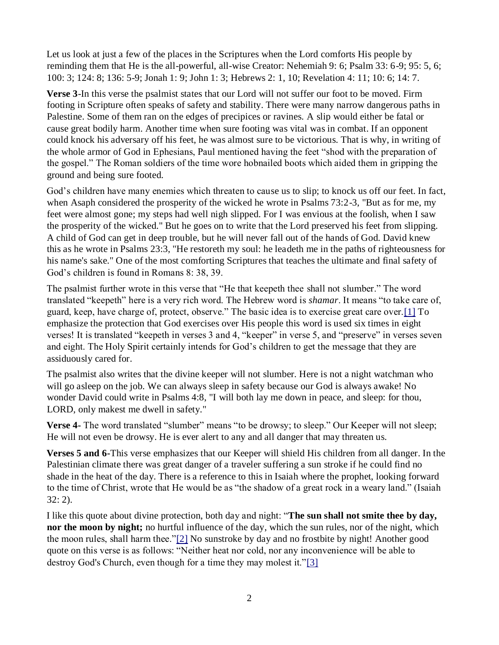Let us look at just a few of the places in the Scriptures when the Lord comforts His people by reminding them that He is the all-powerful, all-wise Creator: Nehemiah 9: 6; Psalm 33: 6-9; 95: 5, 6; 100: 3; 124: 8; 136: 5-9; Jonah 1: 9; John 1: 3; Hebrews 2: 1, 10; Revelation 4: 11; 10: 6; 14: 7.

**Verse 3**-In this verse the psalmist states that our Lord will not suffer our foot to be moved. Firm footing in Scripture often speaks of safety and stability. There were many narrow dangerous paths in Palestine. Some of them ran on the edges of precipices or ravines. A slip would either be fatal or cause great bodily harm. Another time when sure footing was vital was in combat. If an opponent could knock his adversary off his feet, he was almost sure to be victorious. That is why, in writing of the whole armor of God in Ephesians, Paul mentioned having the feet "shod with the preparation of the gospel." The Roman soldiers of the time wore hobnailed boots which aided them in gripping the ground and being sure footed.

God's children have many enemies which threaten to cause us to slip; to knock us off our feet. In fact, when Asaph considered the prosperity of the wicked he wrote in Psalms 73:2-3, "But as for me, my feet were almost gone; my steps had well nigh slipped. For I was envious at the foolish, when I saw the prosperity of the wicked." But he goes on to write that the Lord preserved his feet from slipping. A child of God can get in deep trouble, but he will never fall out of the hands of God. David knew this as he wrote in Psalms 23:3, "He restoreth my soul: he leadeth me in the paths of righteousness for his name's sake." One of the most comforting Scriptures that teaches the ultimate and final safety of God's children is found in Romans 8: 38, 39.

The psalmist further wrote in this verse that "He that keepeth thee shall not slumber." The word translated "keepeth" here is a very rich word. The Hebrew word is *shamar*. It means "to take care of, guard, keep, have charge of, protect, observe." The basic idea is to exercise great care over.[1] To emphasize the protection that God exercises over His people this word is used six times in eight verses! It is translated "keepeth in verses 3 and 4, "keeper" in verse 5, and "preserve" in verses seven and eight. The Holy Spirit certainly intends for God's children to get the message that they are assiduously cared for.

The psalmist also writes that the divine keeper will not slumber. Here is not a night watchman who will go asleep on the job. We can always sleep in safety because our God is always awake! No wonder David could write in Psalms 4:8, "I will both lay me down in peace, and sleep: for thou, LORD, only makest me dwell in safety."

**Verse 4-** The word translated "slumber" means "to be drowsy; to sleep." Our Keeper will not sleep; He will not even be drowsy. He is ever alert to any and all danger that may threaten us.

**Verses 5 and 6-**This verse emphasizes that our Keeper will shield His children from all danger. In the Palestinian climate there was great danger of a traveler suffering a sun stroke if he could find no shade in the heat of the day. There is a reference to this in Isaiah where the prophet, looking forward to the time of Christ, wrote that He would be as "the shadow of a great rock in a weary land." (Isaiah 32: 2).

I like this quote about divine protection, both day and night: "**The sun shall not smite thee by day, nor the moon by night;** no hurtful influence of the day, which the sun rules, nor of the night, which the moon rules, shall harm thee."[2] No sunstroke by day and no frostbite by night! Another good quote on this verse is as follows: "Neither heat nor cold, nor any inconvenience will be able to destroy God's Church, even though for a time they may molest it."[3]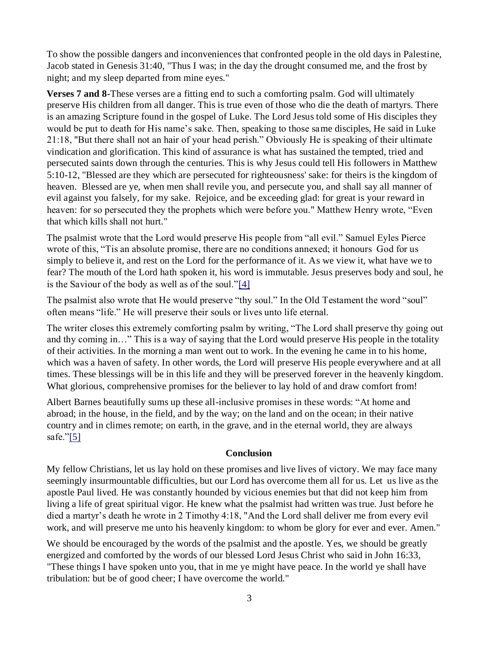To show the possible dangers and inconveniences that confronted people in the old days in Palestine, Jacob stated in Genesis 31:40, "Thus I was; in the day the drought consumed me, and the frost by night; and my sleep departed from mine eyes."

**Verses 7 and 8-**These verses are a fitting end to such a comforting psalm. God will ultimately preserve His children from all danger. This is true even of those who die the death of martyrs. There is an amazing Scripture found in the gospel of Luke. The Lord Jesus told some of His disciples they would be put to death for His name's sake. Then, speaking to those same disciples, He said in Luke 21:18, "But there shall not an hair of your head perish." Obviously He is speaking of their ultimate vindication and glorification. This kind of assurance is what has sustained the tempted, tried and persecuted saints down through the centuries. This is why Jesus could tell His followers in Matthew 5:10-12, "Blessed are they which are persecuted for righteousness' sake: for theirs is the kingdom of heaven. Blessed are ye, when men shall revile you, and persecute you, and shall say all manner of evil against you falsely, for my sake. Rejoice, and be exceeding glad: for great is your reward in heaven: for so persecuted they the prophets which were before you." Matthew Henry wrote, "Even that which kills shall not hurt."

The psalmist wrote that the Lord would preserve His people from "all evil." Samuel Eyles Pierce wrote of this, "Tis an absolute promise, there are no conditions annexed; it honours God for us simply to believe it, and rest on the Lord for the performance of it. As we view it, what have we to fear? The mouth of the Lord hath spoken it, his word is immutable. Jesus preserves body and soul, he is the Saviour of the body as well as of the soul."[4]

The psalmist also wrote that He would preserve "thy soul." In the Old Testament the word "soul" often means "life." He will preserve their souls or lives unto life eternal.

The writer closes this extremely comforting psalm by writing, "The Lord shall preserve thy going out and thy coming in…" This is a way of saying that the Lord would preserve His people in the totality of their activities. In the morning a man went out to work. In the evening he came in to his home, which was a haven of safety. In other words, the Lord will preserve His people everywhere and at all times. These blessings will be in this life and they will be preserved forever in the heavenly kingdom. What glorious, comprehensive promises for the believer to lay hold of and draw comfort from!

Albert Barnes beautifully sums up these all-inclusive promises in these words: "At home and abroad; in the house, in the field, and by the way; on the land and on the ocean; in their native country and in climes remote; on earth, in the grave, and in the eternal world, they are always safe." $[5]$ 

## **Conclusion**

My fellow Christians, let us lay hold on these promises and live lives of victory. We may face many seemingly insurmountable difficulties, but our Lord has overcome them all for us. Let us live as the apostle Paul lived. He was constantly hounded by vicious enemies but that did not keep him from living a life of great spiritual vigor. He knew what the psalmist had written was true. Just before he died a martyr's death he wrote in 2 Timothy 4:18, "And the Lord shall deliver me from every evil work, and will preserve me unto his heavenly kingdom: to whom be glory for ever and ever. Amen."

We should be encouraged by the words of the psalmist and the apostle. Yes, we should be greatly energized and comforted by the words of our blessed Lord Jesus Christ who said in John 16:33, "These things I have spoken unto you, that in me ye might have peace. In the world ye shall have tribulation: but be of good cheer; I have overcome the world."